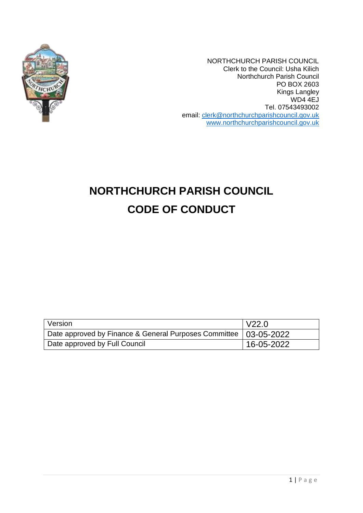

NORTHCHURCH PARISH COUNCIL Clerk to the Council: Usha Kilich Northchurch Parish Council PO BOX 2603 Kings Langley WD4 4EJ Tel. 07543493002 email: [clerk@northchurchparishcouncil.gov.uk](mailto:clerk@northchurchparishcouncil.gov.uk) [www.northchurchparishcouncil.gov.uk](http://www.northchurchparishcouncil.gov.uk/)

# **NORTHCHURCH PARISH COUNCIL CODE OF CONDUCT**

| Version                                                            | $\sqrt{22.0}$ |
|--------------------------------------------------------------------|---------------|
| Date approved by Finance & General Purposes Committee   03-05-2022 |               |
| Date approved by Full Council                                      | 16-05-2022    |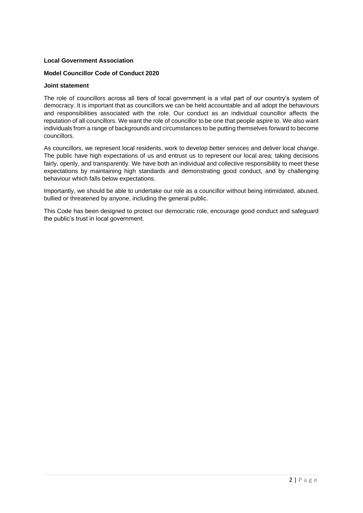# **Local Government Association**

# **Model Councillor Code of Conduct 2020**

# **Joint statement**

The role of councillors across all tiers of local government is a vital part of our country's system of democracy. It is important that as councillors we can be held accountable and all adopt the behaviours and responsibilities associated with the role. Our conduct as an individual councillor affects the reputation of all councillors. We want the role of councillor to be one that people aspire to. We also want individuals from a range of backgrounds and circumstances to be putting themselves forward to become councillors.

As councillors, we represent local residents, work to develop better services and deliver local change. The public have high expectations of us and entrust us to represent our local area; taking decisions fairly, openly, and transparently. We have both an individual and collective responsibility to meet these expectations by maintaining high standards and demonstrating good conduct, and by challenging behaviour which falls below expectations.

Importantly, we should be able to undertake our role as a councillor without being intimidated, abused, bullied or threatened by anyone, including the general public.

This Code has been designed to protect our democratic role, encourage good conduct and safeguard the public's trust in local government.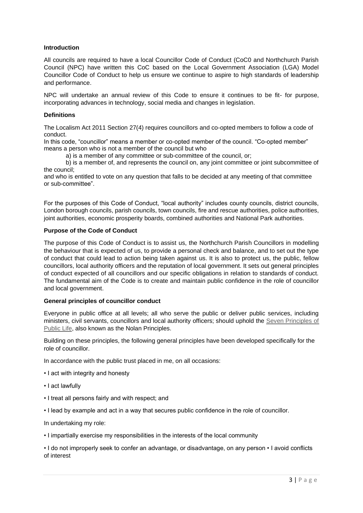# **Introduction**

All councils are required to have a local Councillor Code of Conduct (CoC0 and Northchurch Parish Council (NPC) have written this CoC based on the Local Government Association (LGA) Model Councillor Code of Conduct to help us ensure we continue to aspire to high standards of leadership and performance.

NPC will undertake an annual review of this Code to ensure it continues to be fit- for purpose, incorporating advances in technology, social media and changes in legislation.

#### **Definitions**

The Localism Act 2011 Section 27(4) requires councillors and co-opted members to follow a code of conduct.

In this code, "councillor" means a member or co-opted member of the council. "Co-opted member" means a person who is not a member of the council but who

a) is a member of any committee or sub-committee of the council, or;

b) is a member of, and represents the council on, any joint committee or joint subcommittee of the council;

and who is entitled to vote on any question that falls to be decided at any meeting of that committee or sub-committee".

For the purposes of this Code of Conduct, "local authority" includes county councils, district councils, London borough councils, parish councils, town councils, fire and rescue authorities, police authorities, joint authorities, economic prosperity boards, combined authorities and National Park authorities.

# **Purpose of the Code of Conduct**

The purpose of this Code of Conduct is to assist us, the Northchurch Parish Councillors in modelling the behaviour that is expected of us, to provide a personal check and balance, and to set out the type of conduct that could lead to action being taken against us. It is also to protect us, the public, fellow councillors, local authority officers and the reputation of local government. It sets out general principles of conduct expected of all councillors and our specific obligations in relation to standards of conduct. The fundamental aim of the Code is to create and maintain public confidence in the role of councillor and local government.

#### **General principles of councillor conduct**

Everyone in public office at all levels; all who serve the public or deliver public services, including ministers, civil servants, councillors and local authority officers; should uphold the Seven Principles of Public Life, also known as the Nolan Principles.

Building on these principles, the following general principles have been developed specifically for the role of councillor.

In accordance with the public trust placed in me, on all occasions:

- I act with integrity and honesty
- I act lawfully
- I treat all persons fairly and with respect; and
- I lead by example and act in a way that secures public confidence in the role of councillor.

In undertaking my role:

• I impartially exercise my responsibilities in the interests of the local community

• I do not improperly seek to confer an advantage, or disadvantage, on any person • I avoid conflicts of interest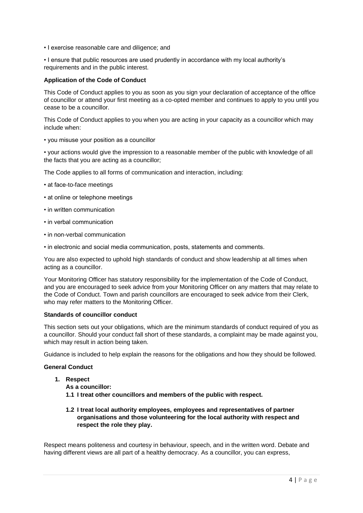• I exercise reasonable care and diligence; and

• I ensure that public resources are used prudently in accordance with my local authority's requirements and in the public interest.

# **Application of the Code of Conduct**

This Code of Conduct applies to you as soon as you sign your declaration of acceptance of the office of councillor or attend your first meeting as a co-opted member and continues to apply to you until you cease to be a councillor.

This Code of Conduct applies to you when you are acting in your capacity as a councillor which may include when:

• you misuse your position as a councillor

• your actions would give the impression to a reasonable member of the public with knowledge of all the facts that you are acting as a councillor;

The Code applies to all forms of communication and interaction, including:

- at face-to-face meetings
- at online or telephone meetings
- in written communication
- in verbal communication
- in non-verbal communication
- in electronic and social media communication, posts, statements and comments.

You are also expected to uphold high standards of conduct and show leadership at all times when acting as a councillor.

Your Monitoring Officer has statutory responsibility for the implementation of the Code of Conduct, and you are encouraged to seek advice from your Monitoring Officer on any matters that may relate to the Code of Conduct. Town and parish councillors are encouraged to seek advice from their Clerk, who may refer matters to the Monitoring Officer.

#### **Standards of councillor conduct**

This section sets out your obligations, which are the minimum standards of conduct required of you as a councillor. Should your conduct fall short of these standards, a complaint may be made against you, which may result in action being taken.

Guidance is included to help explain the reasons for the obligations and how they should be followed.

#### **General Conduct**

- **1. Respect**
	- **As a councillor:**
	- **1.1 I treat other councillors and members of the public with respect.**
	- **1.2 I treat local authority employees, employees and representatives of partner organisations and those volunteering for the local authority with respect and respect the role they play.**

Respect means politeness and courtesy in behaviour, speech, and in the written word. Debate and having different views are all part of a healthy democracy. As a councillor, you can express,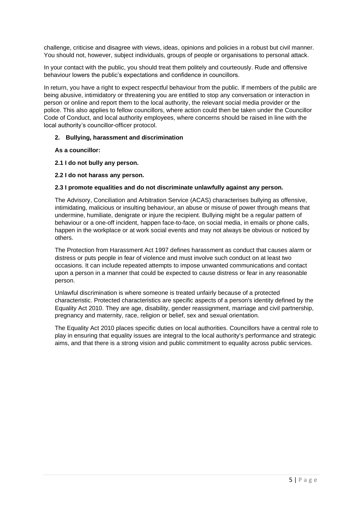challenge, criticise and disagree with views, ideas, opinions and policies in a robust but civil manner. You should not, however, subject individuals, groups of people or organisations to personal attack.

In your contact with the public, you should treat them politely and courteously. Rude and offensive behaviour lowers the public's expectations and confidence in councillors.

In return, you have a right to expect respectful behaviour from the public. If members of the public are being abusive, intimidatory or threatening you are entitled to stop any conversation or interaction in person or online and report them to the local authority, the relevant social media provider or the police. This also applies to fellow councillors, where action could then be taken under the Councillor Code of Conduct, and local authority employees, where concerns should be raised in line with the local authority's councillor-officer protocol.

# **2. Bullying, harassment and discrimination**

**As a councillor:** 

- **2.1 I do not bully any person.**
- **2.2 I do not harass any person.**

# **2.3 I promote equalities and do not discriminate unlawfully against any person.**

The Advisory, Conciliation and Arbitration Service (ACAS) characterises bullying as offensive, intimidating, malicious or insulting behaviour, an abuse or misuse of power through means that undermine, humiliate, denigrate or injure the recipient. Bullying might be a regular pattern of behaviour or a one-off incident, happen face-to-face, on social media, in emails or phone calls, happen in the workplace or at work social events and may not always be obvious or noticed by others.

The Protection from Harassment Act 1997 defines harassment as conduct that causes alarm or distress or puts people in fear of violence and must involve such conduct on at least two occasions. It can include repeated attempts to impose unwanted communications and contact upon a person in a manner that could be expected to cause distress or fear in any reasonable person.

Unlawful discrimination is where someone is treated unfairly because of a protected characteristic. Protected characteristics are specific aspects of a person's identity defined by the Equality Act 2010. They are age, disability, gender reassignment, marriage and civil partnership, pregnancy and maternity, race, religion or belief, sex and sexual orientation.

The Equality Act 2010 places specific duties on local authorities. Councillors have a central role to play in ensuring that equality issues are integral to the local authority's performance and strategic aims, and that there is a strong vision and public commitment to equality across public services.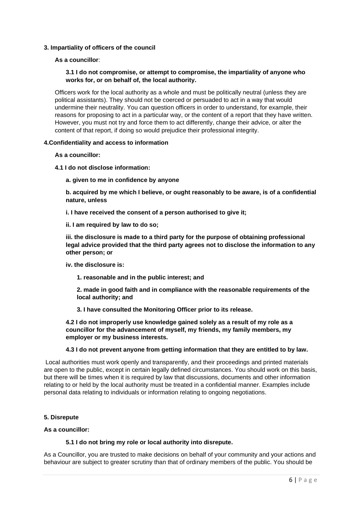# **3. Impartiality of officers of the council**

**As a councillor**:

# **3.1 I do not compromise, or attempt to compromise, the impartiality of anyone who works for, or on behalf of, the local authority.**

Officers work for the local authority as a whole and must be politically neutral (unless they are political assistants). They should not be coerced or persuaded to act in a way that would undermine their neutrality. You can question officers in order to understand, for example, their reasons for proposing to act in a particular way, or the content of a report that they have written. However, you must not try and force them to act differently, change their advice, or alter the content of that report, if doing so would prejudice their professional integrity.

#### **4.Confidentiality and access to information**

**As a councillor:** 

- **4.1 I do not disclose information:** 
	- **a. given to me in confidence by anyone**

**b. acquired by me which I believe, or ought reasonably to be aware, is of a confidential nature, unless** 

**i. I have received the consent of a person authorised to give it;** 

**ii. I am required by law to do so;** 

**iii. the disclosure is made to a third party for the purpose of obtaining professional legal advice provided that the third party agrees not to disclose the information to any other person; or** 

- **iv. the disclosure is:** 
	- **1. reasonable and in the public interest; and**

**2. made in good faith and in compliance with the reasonable requirements of the local authority; and** 

**3. I have consulted the Monitoring Officer prior to its release.** 

**4.2 I do not improperly use knowledge gained solely as a result of my role as a councillor for the advancement of myself, my friends, my family members, my employer or my business interests.** 

# **4.3 I do not prevent anyone from getting information that they are entitled to by law.**

Local authorities must work openly and transparently, and their proceedings and printed materials are open to the public, except in certain legally defined circumstances. You should work on this basis, but there will be times when it is required by law that discussions, documents and other information relating to or held by the local authority must be treated in a confidential manner. Examples include personal data relating to individuals or information relating to ongoing negotiations.

#### **5. Disrepute**

#### **As a councillor:**

#### **5.1 I do not bring my role or local authority into disrepute.**

As a Councillor, you are trusted to make decisions on behalf of your community and your actions and behaviour are subject to greater scrutiny than that of ordinary members of the public. You should be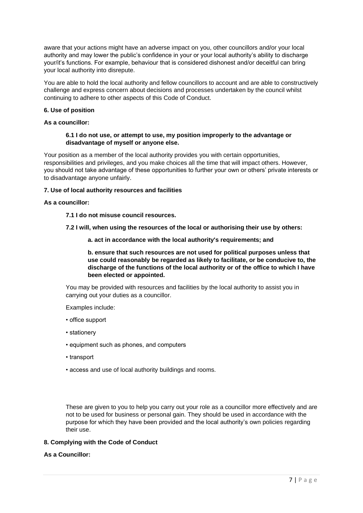aware that your actions might have an adverse impact on you, other councillors and/or your local authority and may lower the public's confidence in your or your local authority's ability to discharge your/it's functions. For example, behaviour that is considered dishonest and/or deceitful can bring your local authority into disrepute.

You are able to hold the local authority and fellow councillors to account and are able to constructively challenge and express concern about decisions and processes undertaken by the council whilst continuing to adhere to other aspects of this Code of Conduct.

# **6. Use of position**

#### **As a councillor:**

# **6.1 I do not use, or attempt to use, my position improperly to the advantage or disadvantage of myself or anyone else.**

Your position as a member of the local authority provides you with certain opportunities, responsibilities and privileges, and you make choices all the time that will impact others. However, you should not take advantage of these opportunities to further your own or others' private interests or to disadvantage anyone unfairly.

# **7. Use of local authority resources and facilities**

#### **As a councillor:**

- **7.1 I do not misuse council resources.**
- **7.2 I will, when using the resources of the local or authorising their use by others:** 
	- **a. act in accordance with the local authority's requirements; and**

**b. ensure that such resources are not used for political purposes unless that use could reasonably be regarded as likely to facilitate, or be conducive to, the discharge of the functions of the local authority or of the office to which I have been elected or appointed.** 

You may be provided with resources and facilities by the local authority to assist you in carrying out your duties as a councillor.

Examples include:

- office support
- stationery
- equipment such as phones, and computers
- transport
- access and use of local authority buildings and rooms.

These are given to you to help you carry out your role as a councillor more effectively and are not to be used for business or personal gain. They should be used in accordance with the purpose for which they have been provided and the local authority's own policies regarding their use.

# **8. Complying with the Code of Conduct**

# **As a Councillor:**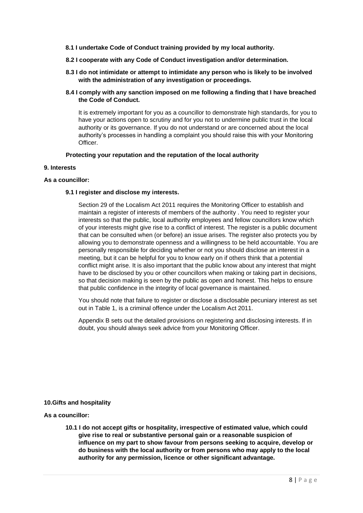- **8.1 I undertake Code of Conduct training provided by my local authority.**
- **8.2 I cooperate with any Code of Conduct investigation and/or determination.**
- **8.3 I do not intimidate or attempt to intimidate any person who is likely to be involved with the administration of any investigation or proceedings.**
- **8.4 I comply with any sanction imposed on me following a finding that I have breached the Code of Conduct.**

It is extremely important for you as a councillor to demonstrate high standards, for you to have your actions open to scrutiny and for you not to undermine public trust in the local authority or its governance. If you do not understand or are concerned about the local authority's processes in handling a complaint you should raise this with your Monitoring Officer.

# **Protecting your reputation and the reputation of the local authority**

#### **9. Interests**

# **As a councillor:**

# **9.1 I register and disclose my interests.**

Section 29 of the Localism Act 2011 requires the Monitoring Officer to establish and maintain a register of interests of members of the authority . You need to register your interests so that the public, local authority employees and fellow councillors know which of your interests might give rise to a conflict of interest. The register is a public document that can be consulted when (or before) an issue arises. The register also protects you by allowing you to demonstrate openness and a willingness to be held accountable. You are personally responsible for deciding whether or not you should disclose an interest in a meeting, but it can be helpful for you to know early on if others think that a potential conflict might arise. It is also important that the public know about any interest that might have to be disclosed by you or other councillors when making or taking part in decisions, so that decision making is seen by the public as open and honest. This helps to ensure that public confidence in the integrity of local governance is maintained.

You should note that failure to register or disclose a disclosable pecuniary interest as set out in Table 1, is a criminal offence under the Localism Act 2011.

Appendix B sets out the detailed provisions on registering and disclosing interests. If in doubt, you should always seek advice from your Monitoring Officer.

#### **10.Gifts and hospitality**

# **As a councillor:**

**10.1 I do not accept gifts or hospitality, irrespective of estimated value, which could give rise to real or substantive personal gain or a reasonable suspicion of influence on my part to show favour from persons seeking to acquire, develop or do business with the local authority or from persons who may apply to the local authority for any permission, licence or other significant advantage.**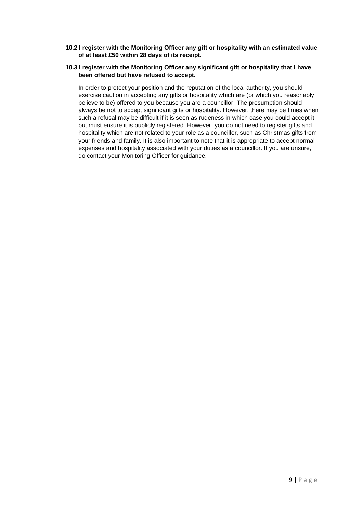**10.2 I register with the Monitoring Officer any gift or hospitality with an estimated value of at least £50 within 28 days of its receipt.** 

# **10.3 I register with the Monitoring Officer any significant gift or hospitality that I have been offered but have refused to accept.**

In order to protect your position and the reputation of the local authority, you should exercise caution in accepting any gifts or hospitality which are (or which you reasonably believe to be) offered to you because you are a councillor. The presumption should always be not to accept significant gifts or hospitality. However, there may be times when such a refusal may be difficult if it is seen as rudeness in which case you could accept it but must ensure it is publicly registered. However, you do not need to register gifts and hospitality which are not related to your role as a councillor, such as Christmas gifts from your friends and family. It is also important to note that it is appropriate to accept normal expenses and hospitality associated with your duties as a councillor. If you are unsure, do contact your Monitoring Officer for guidance.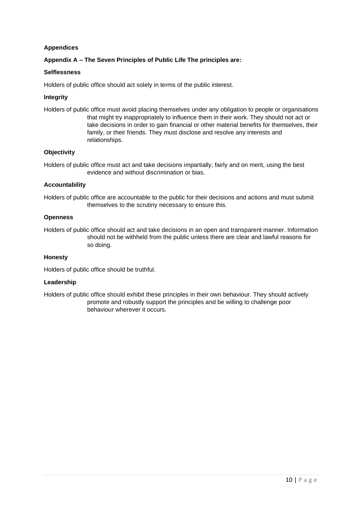# **Appendices**

# **Appendix A – The Seven Principles of Public Life The principles are:**

# **Selflessness**

Holders of public office should act solely in terms of the public interest.

# **Integrity**

Holders of public office must avoid placing themselves under any obligation to people or organisations that might try inappropriately to influence them in their work. They should not act or take decisions in order to gain financial or other material benefits for themselves, their family, or their friends. They must disclose and resolve any interests and relationships.

# **Objectivity**

Holders of public office must act and take decisions impartially, fairly and on merit, using the best evidence and without discrimination or bias.

# **Accountability**

Holders of public office are accountable to the public for their decisions and actions and must submit themselves to the scrutiny necessary to ensure this.

# **Openness**

Holders of public office should act and take decisions in an open and transparent manner. Information should not be withheld from the public unless there are clear and lawful reasons for so doing.

# **Honesty**

Holders of public office should be truthful.

#### **Leadership**

Holders of public office should exhibit these principles in their own behaviour. They should actively promote and robustly support the principles and be willing to challenge poor behaviour wherever it occurs.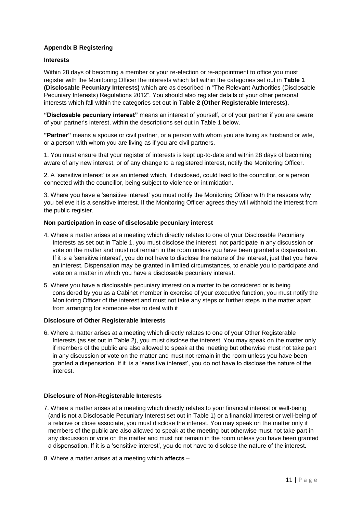# **Appendix B Registering**

# **Interests**

Within 28 days of becoming a member or your re-election or re-appointment to office you must register with the Monitoring Officer the interests which fall within the categories set out in **Table 1 (Disclosable Pecuniary Interests)** which are as described in "The Relevant Authorities (Disclosable Pecuniary Interests) Regulations 2012". You should also register details of your other personal interests which fall within the categories set out in **Table 2 (Other Registerable Interests).** 

**"Disclosable pecuniary interest"** means an interest of yourself, or of your partner if you are aware of your partner's interest, within the descriptions set out in Table 1 below.

**"Partner"** means a spouse or civil partner, or a person with whom you are living as husband or wife, or a person with whom you are living as if you are civil partners.

1. You must ensure that your register of interests is kept up-to-date and within 28 days of becoming aware of any new interest, or of any change to a registered interest, notify the Monitoring Officer.

2. A 'sensitive interest' is as an interest which, if disclosed, could lead to the councillor, or a person connected with the councillor, being subject to violence or intimidation.

3. Where you have a 'sensitive interest' you must notify the Monitoring Officer with the reasons why you believe it is a sensitive interest. If the Monitoring Officer agrees they will withhold the interest from the public register.

#### **Non participation in case of disclosable pecuniary interest**

- 4. Where a matter arises at a meeting which directly relates to one of your Disclosable Pecuniary Interests as set out in Table 1, you must disclose the interest, not participate in any discussion or vote on the matter and must not remain in the room unless you have been granted a dispensation. If it is a 'sensitive interest', you do not have to disclose the nature of the interest, just that you have an interest. Dispensation may be granted in limited circumstances, to enable you to participate and vote on a matter in which you have a disclosable pecuniary interest.
- 5. Where you have a disclosable pecuniary interest on a matter to be considered or is being considered by you as a Cabinet member in exercise of your executive function, you must notify the Monitoring Officer of the interest and must not take any steps or further steps in the matter apart from arranging for someone else to deal with it

# **Disclosure of Other Registerable Interests**

6. Where a matter arises at a meeting which directly relates to one of your Other Registerable Interests (as set out in Table 2), you must disclose the interest. You may speak on the matter only if members of the public are also allowed to speak at the meeting but otherwise must not take part in any discussion or vote on the matter and must not remain in the room unless you have been granted a dispensation. If it is a 'sensitive interest', you do not have to disclose the nature of the interest.

#### **Disclosure of Non-Registerable Interests**

- 7. Where a matter arises at a meeting which directly relates to your financial interest or well-being (and is not a Disclosable Pecuniary Interest set out in Table 1) or a financial interest or well-being of a relative or close associate, you must disclose the interest. You may speak on the matter only if members of the public are also allowed to speak at the meeting but otherwise must not take part in any discussion or vote on the matter and must not remain in the room unless you have been granted a dispensation. If it is a 'sensitive interest', you do not have to disclose the nature of the interest.
- 8. Where a matter arises at a meeting which **affects** –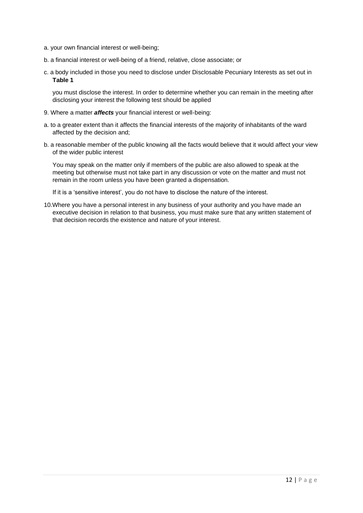- a. your own financial interest or well-being;
- b. a financial interest or well-being of a friend, relative, close associate; or
- c. a body included in those you need to disclose under Disclosable Pecuniary Interests as set out in **Table 1**

you must disclose the interest. In order to determine whether you can remain in the meeting after disclosing your interest the following test should be applied

- 9. Where a matter *affects* your financial interest or well-being:
- a. to a greater extent than it affects the financial interests of the majority of inhabitants of the ward affected by the decision and;
- b. a reasonable member of the public knowing all the facts would believe that it would affect your view of the wider public interest

You may speak on the matter only if members of the public are also allowed to speak at the meeting but otherwise must not take part in any discussion or vote on the matter and must not remain in the room unless you have been granted a dispensation.

If it is a 'sensitive interest', you do not have to disclose the nature of the interest.

10.Where you have a personal interest in any business of your authority and you have made an executive decision in relation to that business, you must make sure that any written statement of that decision records the existence and nature of your interest.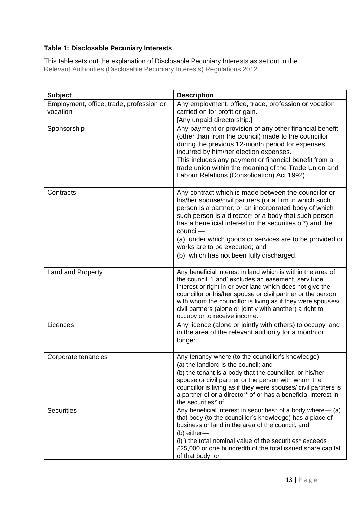# **Table 1: Disclosable Pecuniary Interests**

This table sets out the explanation of Disclosable Pecuniary Interests as set out in the Relevant Authorities (Disclosable Pecuniary Interests) Regulations 2012.

| <b>Subject</b>                                       | <b>Description</b>                                                                                                                                                                                                                                                                                                                                                                                                                               |  |
|------------------------------------------------------|--------------------------------------------------------------------------------------------------------------------------------------------------------------------------------------------------------------------------------------------------------------------------------------------------------------------------------------------------------------------------------------------------------------------------------------------------|--|
| Employment, office, trade, profession or<br>vocation | Any employment, office, trade, profession or vocation<br>carried on for profit or gain.<br>[Any unpaid directorship.]                                                                                                                                                                                                                                                                                                                            |  |
| Sponsorship                                          | Any payment or provision of any other financial benefit<br>(other than from the council) made to the councillor<br>during the previous 12-month period for expenses<br>incurred by him/her election expenses.<br>This includes any payment or financial benefit from a<br>trade union within the meaning of the Trade Union and<br>Labour Relations (Consolidation) Act 1992).                                                                   |  |
| Contracts                                            | Any contract which is made between the councillor or<br>his/her spouse/civil partners (or a firm in which such<br>person is a partner, or an incorporated body of which<br>such person is a director* or a body that such person<br>has a beneficial interest in the securities of*) and the<br>council-<br>(a) under which goods or services are to be provided or<br>works are to be executed; and<br>(b) which has not been fully discharged. |  |
| Land and Property                                    | Any beneficial interest in land which is within the area of<br>the council. 'Land' excludes an easement, servitude,<br>interest or right in or over land which does not give the<br>councillor or his/her spouse or civil partner or the person<br>with whom the councillor is living as if they were spouses/<br>civil partners (alone or jointly with another) a right to<br>occupy or to receive income.                                      |  |
| Licences                                             | Any licence (alone or jointly with others) to occupy land<br>in the area of the relevant authority for a month or<br>longer.                                                                                                                                                                                                                                                                                                                     |  |
| Corporate tenancies                                  | Any tenancy where (to the councillor's knowledge)-<br>(a) the landlord is the council; and<br>(b) the tenant is a body that the councillor, or his/her<br>spouse or civil partner or the person with whom the<br>councillor is living as if they were spouses/ civil partners is<br>a partner of or a director <sup>*</sup> of or has a beneficial interest in<br>the securities* of.                                                            |  |
| <b>Securities</b>                                    | Any beneficial interest in securities* of a body where— (a)<br>that body (to the councillor's knowledge) has a place of<br>business or land in the area of the council; and<br>(b) either-<br>(i) ) the total nominal value of the securities* exceeds<br>£25,000 or one hundredth of the total issued share capital<br>of that body; or                                                                                                         |  |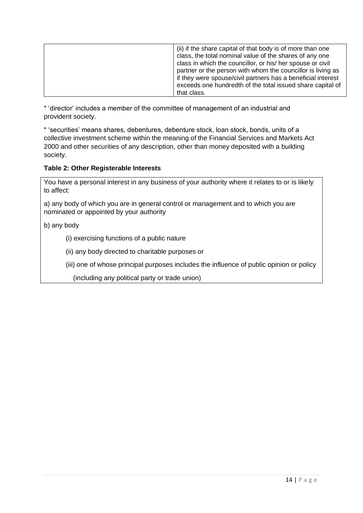| (ii) if the share capital of that body is of more than one<br>class, the total nominal value of the shares of any one<br>class in which the councillor, or his/ her spouse or civil<br>partner or the person with whom the councillor is living as<br>if they were spouse/civil partners has a beneficial interest<br>exceeds one hundredth of the total issued share capital of |
|----------------------------------------------------------------------------------------------------------------------------------------------------------------------------------------------------------------------------------------------------------------------------------------------------------------------------------------------------------------------------------|
| that class.                                                                                                                                                                                                                                                                                                                                                                      |

\* 'director' includes a member of the committee of management of an industrial and provident society.

\* 'securities' means shares, debentures, debenture stock, loan stock, bonds, units of a collective investment scheme within the meaning of the Financial Services and Markets Act 2000 and other securities of any description, other than money deposited with a building society.

# **Table 2: Other Registerable Interests**

You have a personal interest in any business of your authority where it relates to or is likely to affect:

a) any body of which you are in general control or management and to which you are nominated or appointed by your authority

b) any body

(i) exercising functions of a public nature

(ii) any body directed to charitable purposes or

(iii) one of whose principal purposes includes the influence of public opinion or policy

(including any political party or trade union)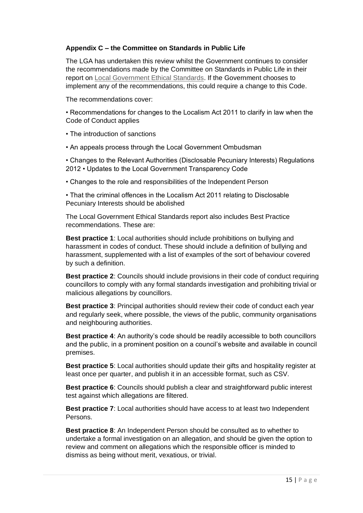# **Appendix C – the Committee on Standards in Public Life**

The LGA has undertaken this review whilst the Government continues to consider the recommendations made by the Committee on Standards in Public Life in their report on Local Government Ethical Standards. If the Government chooses to implement any of the recommendations, this could require a change to this Code.

The recommendations cover:

• Recommendations for changes to the Localism Act 2011 to clarify in law when the Code of Conduct applies

• The introduction of sanctions

• An appeals process through the Local Government Ombudsman

• Changes to the Relevant Authorities (Disclosable Pecuniary Interests) Regulations 2012 • Updates to the Local Government Transparency Code

• Changes to the role and responsibilities of the Independent Person

• That the criminal offences in the Localism Act 2011 relating to Disclosable Pecuniary Interests should be abolished

The Local Government Ethical Standards report also includes Best Practice recommendations. These are:

**Best practice 1**: Local authorities should include prohibitions on bullying and harassment in codes of conduct. These should include a definition of bullying and harassment, supplemented with a list of examples of the sort of behaviour covered by such a definition.

**Best practice 2**: Councils should include provisions in their code of conduct requiring councillors to comply with any formal standards investigation and prohibiting trivial or malicious allegations by councillors.

**Best practice 3**: Principal authorities should review their code of conduct each year and regularly seek, where possible, the views of the public, community organisations and neighbouring authorities.

**Best practice 4**: An authority's code should be readily accessible to both councillors and the public, in a prominent position on a council's website and available in council premises.

**Best practice 5**: Local authorities should update their gifts and hospitality register at least once per quarter, and publish it in an accessible format, such as CSV.

**Best practice 6**: Councils should publish a clear and straightforward public interest test against which allegations are filtered.

**Best practice 7**: Local authorities should have access to at least two Independent Persons.

**Best practice 8**: An Independent Person should be consulted as to whether to undertake a formal investigation on an allegation, and should be given the option to review and comment on allegations which the responsible officer is minded to dismiss as being without merit, vexatious, or trivial.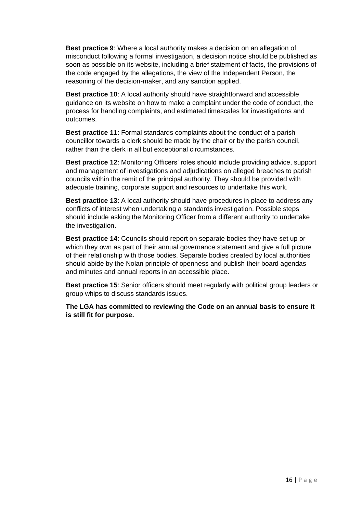**Best practice 9**: Where a local authority makes a decision on an allegation of misconduct following a formal investigation, a decision notice should be published as soon as possible on its website, including a brief statement of facts, the provisions of the code engaged by the allegations, the view of the Independent Person, the reasoning of the decision-maker, and any sanction applied.

**Best practice 10**: A local authority should have straightforward and accessible guidance on its website on how to make a complaint under the code of conduct, the process for handling complaints, and estimated timescales for investigations and outcomes.

**Best practice 11**: Formal standards complaints about the conduct of a parish councillor towards a clerk should be made by the chair or by the parish council, rather than the clerk in all but exceptional circumstances.

**Best practice 12**: Monitoring Officers' roles should include providing advice, support and management of investigations and adjudications on alleged breaches to parish councils within the remit of the principal authority. They should be provided with adequate training, corporate support and resources to undertake this work.

**Best practice 13**: A local authority should have procedures in place to address any conflicts of interest when undertaking a standards investigation. Possible steps should include asking the Monitoring Officer from a different authority to undertake the investigation.

**Best practice 14**: Councils should report on separate bodies they have set up or which they own as part of their annual governance statement and give a full picture of their relationship with those bodies. Separate bodies created by local authorities should abide by the Nolan principle of openness and publish their board agendas and minutes and annual reports in an accessible place.

**Best practice 15**: Senior officers should meet regularly with political group leaders or group whips to discuss standards issues.

**The LGA has committed to reviewing the Code on an annual basis to ensure it is still fit for purpose.**